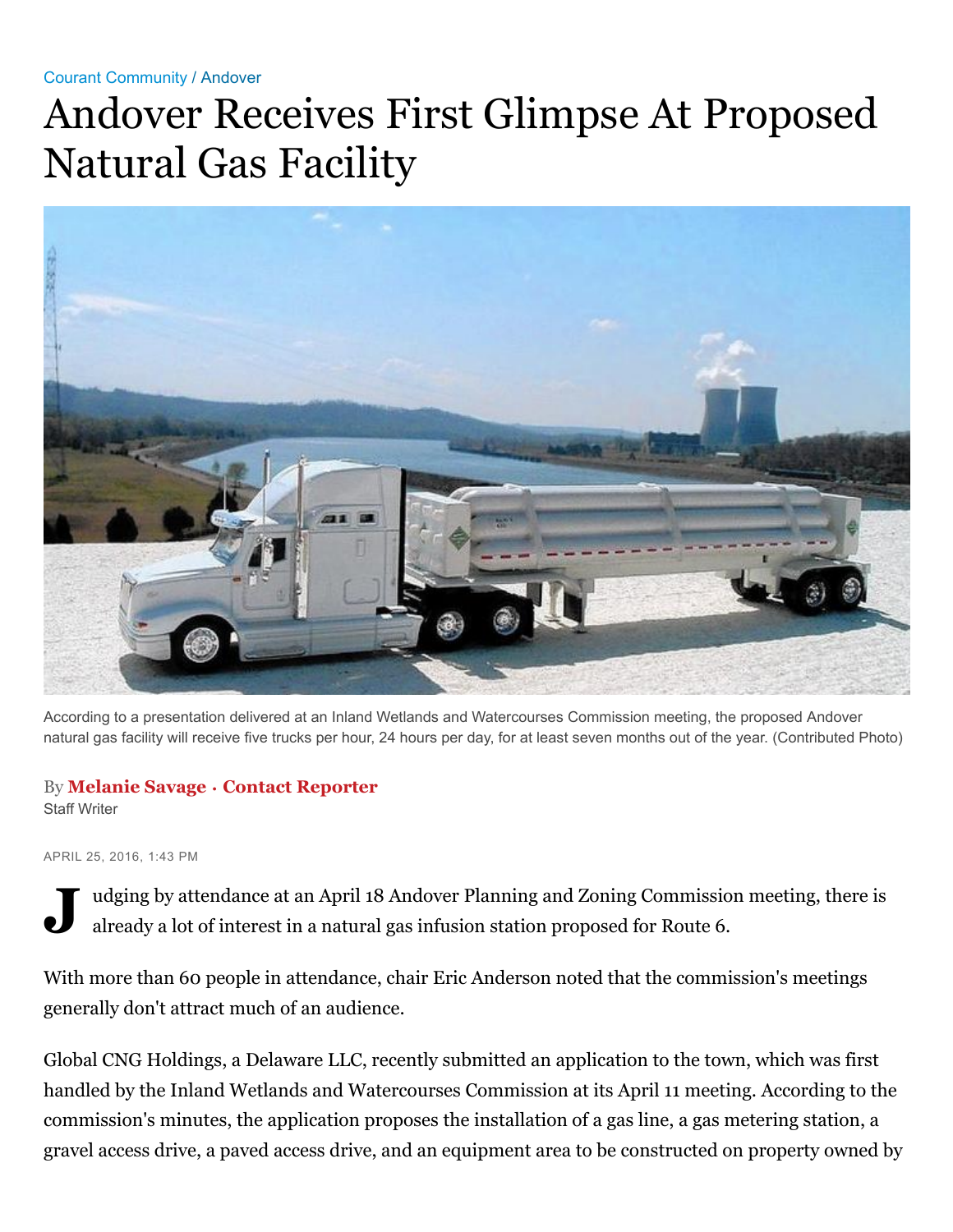## Courant [Community](http://www.courant.com/community/#nt=breadcrumb) / [Andover](http://www.courant.com/community/andover/#nt=breadcrumb)

## Andover Receives First Glimpse At Proposed Natural Gas Facility



According to a presentation delivered at an Inland Wetlands and Watercourses Commission meeting, the proposed Andover natural gas facility will receive five trucks per hour, 24 hours per day, for at least seven months out of the year. (Contributed Photo)

## By **[Melanie](http://www.courant.com/hc-melanie-savage-staff.html#nt=byline) Savage** • **Contact [Reporter](https://mail.google.com/mail/?view=cm&fs=1&tf=1&to=msavage@remindernet.com&su=Regarding:%20%22Andover%20Receives%20First%20Glimpse%20At%20Proposed%20Natural%20Gas%20Facility%22)**

Staff Writer

APRIL 25, 2016, 1:43 PM

**J** udging by attendance at an April 18 Andover Planning and Zoning Commission meeting, there is already a lot of interest in a natural gas infusion station proposed for Route 6.

With more than 60 people in attendance, chair Eric Anderson noted that the commission's meetings generally don't attract much of an audience.

Global CNG Holdings, a Delaware LLC, recently submitted an application to the town, which was first handled by the Inland Wetlands and Watercourses Commission at its April 11 meeting. According to the commission's minutes, the application proposes the installation of a gas line, a gas metering station, a gravel access drive, a paved access drive, and an equipment area to be constructed on property owned by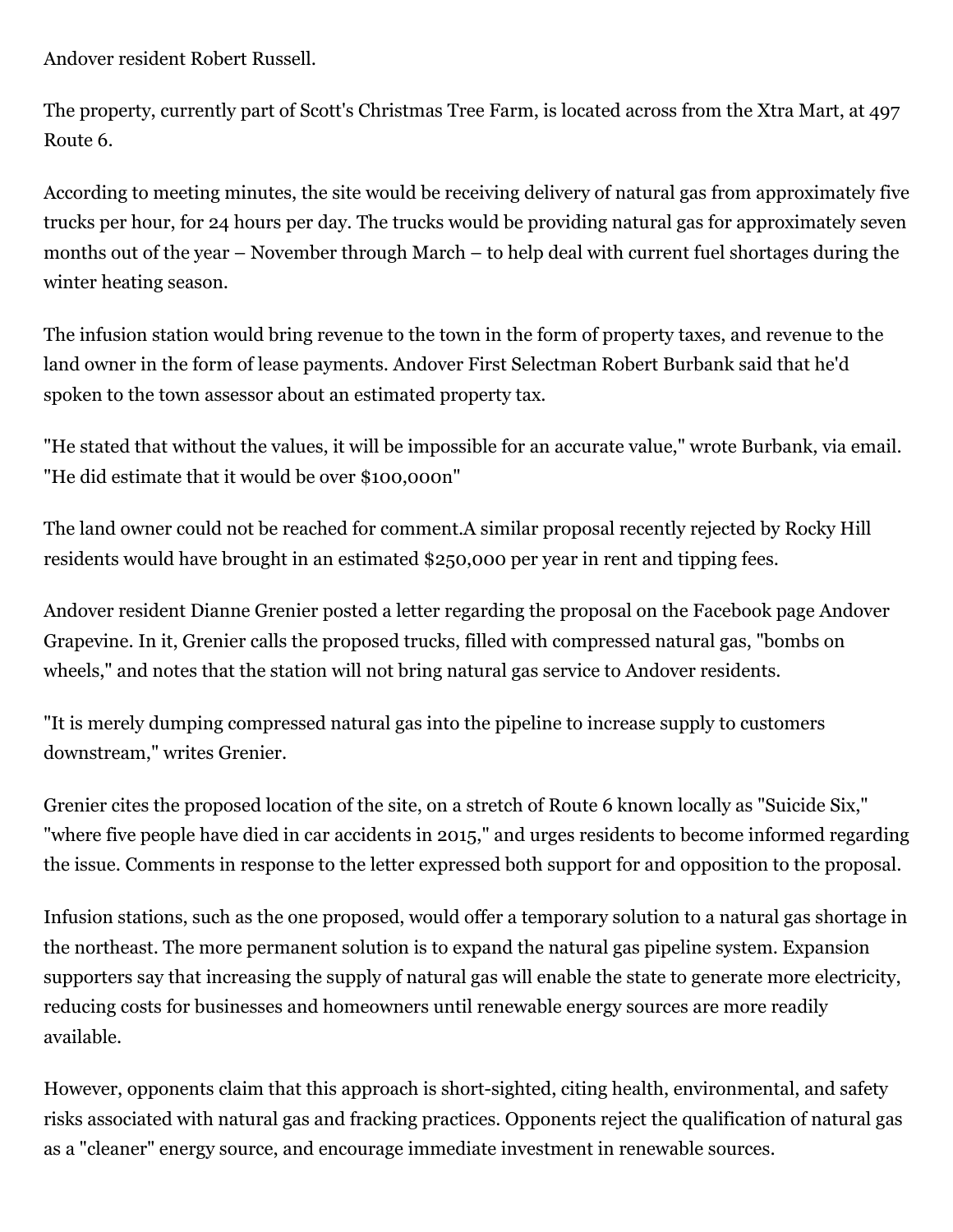Andover resident Robert Russell.

The property, currently part of Scott's Christmas Tree Farm, is located across from the Xtra Mart, at 497 Route 6.

According to meeting minutes, the site would be receiving delivery of natural gas from approximately five trucks per hour, for 24 hours per day. The trucks would be providing natural gas for approximately seven months out of the year – November through March – to help deal with current fuel shortages during the winter heating season.

The infusion station would bring revenue to the town in the form of property taxes, and revenue to the land owner in the form of lease payments. Andover First Selectman Robert Burbank said that he'd spoken to the town assessor about an estimated property tax.

"He stated that without the values, it will be impossible for an accurate value," wrote Burbank, via email. "He did estimate that it would be over \$100,000n"

The land owner could not be reached for comment.A similar proposal recently rejected by Rocky Hill residents would have brought in an estimated \$250,000 per year in rent and tipping fees.

Andover resident Dianne Grenier posted a letter regarding the proposal on the Facebook page Andover Grapevine. In it, Grenier calls the proposed trucks, filled with compressed natural gas, "bombs on wheels," and notes that the station will not bring natural gas service to Andover residents.

"It is merely dumping compressed natural gas into the pipeline to increase supply to customers downstream," writes Grenier.

Grenier cites the proposed location of the site, on a stretch of Route 6 known locally as "Suicide Six," "where five people have died in car accidents in 2015," and urges residents to become informed regarding the issue. Comments in response to the letter expressed both support for and opposition to the proposal.

Infusion stations, such as the one proposed, would offer a temporary solution to a natural gas shortage in the northeast. The more permanent solution is to expand the natural gas pipeline system. Expansion supporters say that increasing the supply of natural gas will enable the state to generate more electricity, reducing costs for businesses and homeowners until renewable energy sources are more readily available.

However, opponents claim that this approach is short-sighted, citing health, environmental, and safety risks associated with natural gas and fracking practices. Opponents reject the qualification of natural gas as a "cleaner" energy source, and encourage immediate investment in renewable sources.